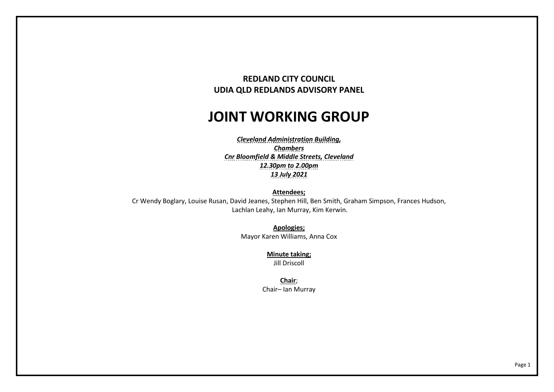## **REDLAND CITY COUNCIL UDIA QLD REDLANDS ADVISORY PANEL**

## **JOINT WORKING GROUP**

*Cleveland Administration Building, Chambers Cnr Bloomfield & Middle Streets, Cleveland 12.30pm to 2.00pm 13 July 2021* 

**Attendees;** 

 Cr Wendy Boglary, Louise Rusan, David Jeanes, Stephen Hill, Ben Smith, Graham Simpson, Frances Hudson,Lachlan Leahy, Ian Murray, Kim Kerwin.

> **Apologies;** Mayor Karen Williams, Anna Cox

> > **Minute taking;** Jill Driscoll

**Chair**; Chair– Ian Murray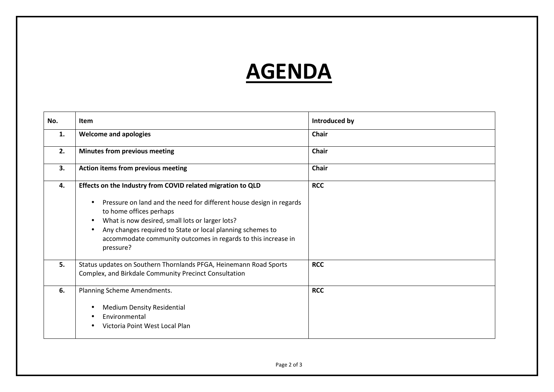## **AGENDA**

| No. | <b>Item</b>                                                                                                                                                                                                                                                                                                                                                               | Introduced by |
|-----|---------------------------------------------------------------------------------------------------------------------------------------------------------------------------------------------------------------------------------------------------------------------------------------------------------------------------------------------------------------------------|---------------|
| 1.  | <b>Welcome and apologies</b>                                                                                                                                                                                                                                                                                                                                              | Chair         |
| 2.  | <b>Minutes from previous meeting</b>                                                                                                                                                                                                                                                                                                                                      | <b>Chair</b>  |
| 3.  | Action items from previous meeting                                                                                                                                                                                                                                                                                                                                        | <b>Chair</b>  |
| 4.  | Effects on the Industry from COVID related migration to QLD<br>Pressure on land and the need for different house design in regards<br>to home offices perhaps<br>What is now desired, small lots or larger lots?<br>$\bullet$<br>Any changes required to State or local planning schemes to<br>accommodate community outcomes in regards to this increase in<br>pressure? | <b>RCC</b>    |
| 5.  | Status updates on Southern Thornlands PFGA, Heinemann Road Sports<br>Complex, and Birkdale Community Precinct Consultation                                                                                                                                                                                                                                                | <b>RCC</b>    |
| 6.  | Planning Scheme Amendments.<br><b>Medium Density Residential</b><br>Environmental<br>Victoria Point West Local Plan                                                                                                                                                                                                                                                       | <b>RCC</b>    |